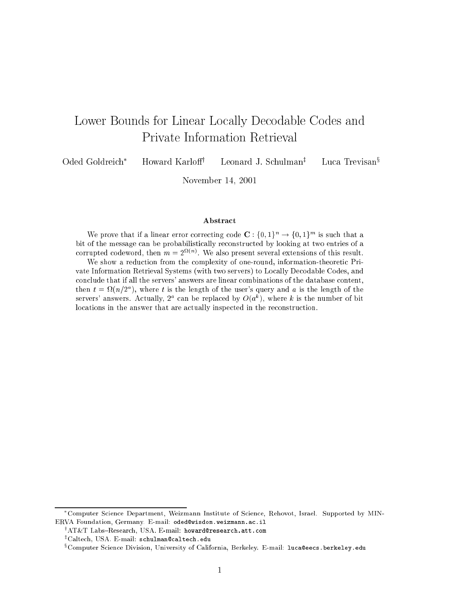# Lower Bounds for Linear Locally Decodable Codes and Private Information Retrieval

Oded Goldreich\* Howard Karloff<sup>†</sup> Leonard J. Schulman<sup> $†$ </sup> Luca Trevisan<sup>§</sup>

November 14, <sup>2001</sup>

#### Abstract

We prove that if a linear error correcting code  $\mathbf{C}: \{0,1\}^n \to \{0,1\}^m$  is such that a bit of the message can be probabilistically reconstructed by looking at two entries of a corrupted codeword, then  $m = 2$   $\cdots$  , we also present several extensions of this result.

We show a reduction from the complexity of one-round, information-theoretic Private Information Retrieval Systems (with two servers) to Locally Decodable Codes, and conclude that if all the servers' answers are linear combinations of the database content, then  $t = \Omega(n/2^a)$ , where t is the length of the user's query and a is the length of the servers' answers. Actually,  $2^a$  can be replaced by  $O(a^k)$ , where k is the number of bit locations in the answer that are actually inspected in the reconstruction.

Computer Science Department, Weizmann Institute of Science, Rehovot, Israel. Supported by MIN-ERVA Foundation, Germany. E-mail: oded@wisdom.weizmann.ac.il

<sup>&#</sup>x27;AI&I Labs-Kesearch, USA. E-mail: howard@research.att.com

<sup>z</sup> Caltech, USA. E-mail: schulman@caltech.edu

<sup>x</sup> Computer Science Division, University of California, Berkeley. E-mail: luca@eecs.berkeley.edu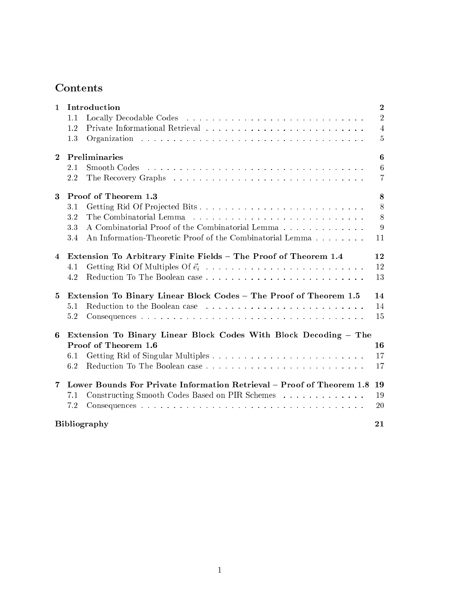# Contents

| $\mathbf{1}$   | Introduction<br>1.1<br>1.2<br>1.3                                                                                                                                 | $\bf{2}$<br>$\overline{2}$<br>$\overline{4}$<br>$\overline{5}$ |  |
|----------------|-------------------------------------------------------------------------------------------------------------------------------------------------------------------|----------------------------------------------------------------|--|
| $\overline{2}$ | Preliminaries<br>Smooth Codes<br>2.1<br>2.2                                                                                                                       | 6<br>6<br>$\overline{7}$                                       |  |
| $\mathbf{3}$   | Proof of Theorem 1.3<br>3.1<br>3.2<br>A Combinatorial Proof of the Combinatorial Lemma<br>3.3<br>An Information-Theoretic Proof of the Combinatorial Lemma<br>3.4 | $\bf8$<br>8<br>8<br>9<br>11                                    |  |
| $\overline{4}$ | Extension To Arbitrary Finite Fields - The Proof of Theorem 1.4<br>4.1<br>4.2                                                                                     | 12<br>12<br>13                                                 |  |
| 5              | Extension To Binary Linear Block Codes - The Proof of Theorem 1.5<br>5.1<br>5.2                                                                                   | 14<br>14<br>15                                                 |  |
| 6              | Extension To Binary Linear Block Codes With Block Decoding - The<br>Proof of Theorem 1.6<br>6.1<br>6.2                                                            | 16<br>17<br>17                                                 |  |
| $\overline{7}$ | Lower Bounds For Private Information Retrieval – Proof of Theorem 1.8<br>Constructing Smooth Codes Based on PIR Schemes<br>7.1<br>7.2                             | 19<br>19<br>20                                                 |  |
|                | <b>Bibliography</b><br>21                                                                                                                                         |                                                                |  |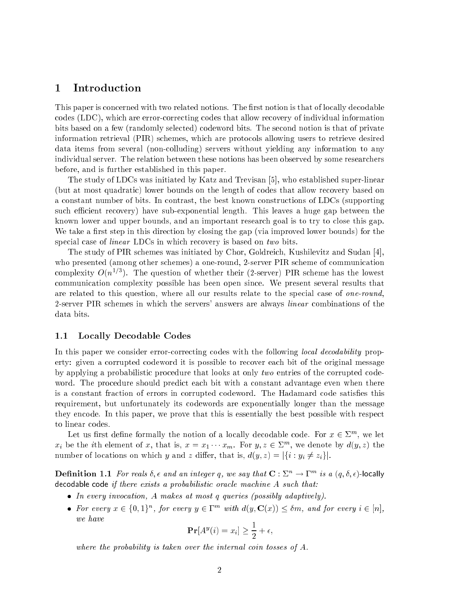### 1 Introduction

This paper is concerned with two related notions. The first notion is that of locally decodable codes (LDC), which are error-correcting codes that allow recovery of individual information bits based on a few (randomly selected) codeword bits. The second notion is that of private information retrieval (PIR) schemes, which are protocols allowing users to retrieve desired data items from several (non-colluding) servers without yielding any information to any individual server. The relation between these notions has been observed by some researchers before, and is further established in this paper.

The study of LDCs was initiated by Katz and Trevisan [5], who established super-linear (but at most quadratic) lower bounds on the length of codes that allow recovery based on a constant number of bits. In contrast, the best known constructions of LDCs (supporting such efficient recovery) have sub-exponential length. This leaves a huge gap between the known lower and upper bounds, and an important research goal is to try to close this gap. We take a first step in this direction by closing the gap (via improved lower bounds) for the special case of *linear* LDCs in which recovery is based on two bits.

The study of PIR schemes was initiated by Chor, Goldreich, Kushilevitz and Sudan [4], who presented (among other schemes) a one-round, 2-server PIR scheme of communication complexity  $O(n^{1/3})$ . The question of whether their (2-server) PIR scheme has the lowest communication complexity possible has been open since. We present several results that are related to this question, where all our results relate to the special case of one-round, 2-server PIR schemes in which the servers' answers are always *linear* combinations of the data bits.

### 1.1 Locally Decodable Codes

In this paper we consider error-correcting codes with the following *local decodability* property: given a corrupted codeword it is possible to recover each bit of the original message by applying a probabilistic procedure that looks at only two entries of the corrupted codeword. The procedure should predict each bit with a constant advantage even when there is a constant fraction of errors in corrupted codeword. The Hadamard code satisfies this requirement, but unfortunately its codewords are exponentially longer than the message they encode. In this paper, we prove that this is essentially the best possible with respect to linear codes.

Let us first define formally the notion of a locally decodable code. For  $x\in\mathbb{Z}^m,$  we let  $x_i$  be the *i*th element of x, that is,  $x = x_1 \cdots x_m$ . For  $y, z \in \Sigma^m$ , we denote by  $d(y, z)$  the number of locations on which y and z differ, that is,  $d(y, z) = |\{i : y_i \neq z_i\}|$ .

**Definition** 1.1 For reals  $\delta$ ,  $\epsilon$  and an integer q, we say that  $\mathbf{C}:\Sigma^n\to\Gamma^m$  is a  $(q,\delta,\epsilon)$ -locally decodable code if there exists a probabilistic oracle machine A such that:

- In every invocation, A makes at most q queries (possibly adaptively).
- For every  $x \in \{0,1\}^n$ , for every  $y \in \Gamma^m$  with  $d(y, \mathbf{C}(x)) \leq \delta m$ , and for every  $i \in [n]$ , we have

$$
\mathbf{Pr}[A^y(i) = x_i] \ge \frac{1}{2} + \epsilon,
$$

where the probability is taken over the internal coin tosses of A.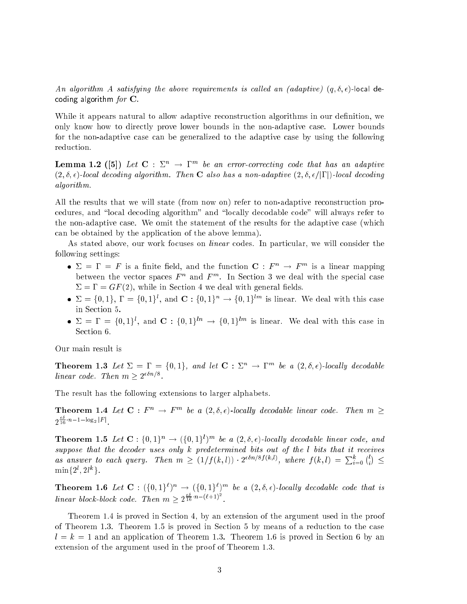An algorithm A satisfying the above requirements is called an (adaptive)  $(q, \delta, \epsilon)$ -local decoding algorithm  $for \, \mathbf{C}$ .

While it appears natural to allow adaptive reconstruction algorithms in our definition, we only know how to directly prove lower bounds in the non-adaptive case. Lower bounds for the non-adaptive case can be generalized to the adaptive case by using the following reduction.

**Lemma 1.2** ([5]) Let  $C: \mathbb{Z}^n \to \mathbb{I}^m$  be an error-correcting code that has an adaptive  $(2,\delta,\epsilon)$ -local decoding algorithm. Then **C** also has a non-adaptive  $(2,\delta,\epsilon/|\Gamma|)$ -local decoding algorithm.

All the results that we will state (from now on) refer to non-adaptive reconstruction procedures, and "local decoding algorithm" and "locally decodable code" will always refer to the non-adaptive case. We omit the statement of the results for the adaptive case (which can be obtained by the application of the above lemma).

As stated above, our work focuses on *linear* codes. In particular, we will consider the following settings:

- $\Sigma = \Gamma = F$  is a finite field, and the function  $\mathbf{C}: F^n \to F^m$  is a linear mapping between the vector spaces  $F^n$  and  $F^m$ . In Section 3 we deal with the special case  $\Sigma = \Gamma = GF(2)$ , while in Section 4 we deal with general fields.
- $\bullet$   $\Delta = \{0,1\}, \, 1 \equiv \{0,1\}$ , and  $\bigcup_i \{0,1\}$   $\rightarrow$   $\{0,1\}$  is linear. We deal with this case in Section 5.
- $\bullet$   $\geq$   $=$   $\bullet$   $=$   $\{0,1\}$ , and  $\bigcup$  :  $\{0,1\}$   $\rightarrow$   $\{0,1\}$  is linear. We deal with this case in Section 6.

Our main result is

**Theorem 1.3** Let  $\Sigma = \Gamma = \{0,1\}$ , and let  $\mathbf{C} : \Sigma^n \to \Gamma^m$  be a  $(2,\delta,\epsilon)$ -locally decodable linear code. Then  $m > 2^{c_{\text{max}}}$ .

The result has the following extensions to larger alphabets.

**Theorem 1.4** Let  $C: F^n \to F^m$  be a  $(2, \delta, \epsilon)$ -locally decodable linear code. Then  $m \geq$  $\frac{1}{16} n-1-\log_2 |F|$ 

**Theorem 1.5** Let  $\mathbf{C} : \{0,1\}^n \to (\{0,1\}^l)^m$  be a  $(2, \delta, \epsilon)$ -locally decodable linear code, and suppose that the decoder uses only k predetermined bits out of the l bits that it receives as answer to each query. Then  $m \geq (1/f(k,l)) \cdot 2^{\epsilon \delta n/8f(k,l)},$  where  $f(k,l) = \sum_{i=0}^{k} {l \choose i}$ . .  $\min\{2^l, 2l^k\}.$ 

**Theorem 1.6** Let  $\mathbf{C}$  :  $(\{0,1\}^{\ell})^n \rightarrow (\{0,1\}^{\ell})^m$  be a  $(2, \delta, \epsilon)$ -locally decodable code that is linear block-block code. Then  $m \geq 2^{\frac{m}{16}} n^{-(\ell+1)^2}$ .

Theorem 1.4 is proved in Section 4, by an extension of the argument used in the proof of Theorem 1.3. Theorem 1.5 is proved in Section 5 by means of a reduction to the case  $l = k = 1$  and an application of Theorem 1.3. Theorem 1.6 is proved in Section 6 by an extension of the argument used in the proof of Theorem 1.3.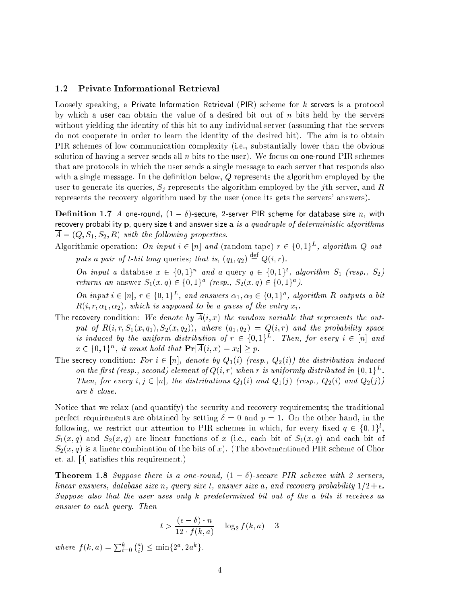### 1.2 Private Informational Retrieval

Loosely speaking, a Private Information Retrieval (PIR) scheme for k servers is a protocol by which a user can obtain the value of a desired bit out of  $n$  bits held by the servers without yielding the identity of this bit to any individual server (assuming that the servers do not cooperate in order to learn the identity of the desired bit). The aim is to obtain PIR schemes of low communication complexity (i.e., substantially lower than the obvious solution of having a server sends all  $n$  bits to the user). We focus on one-round PIR schemes that are protocols in which the user sends a single message to each server that responds also with a single message. In the definition below,  $Q$  represents the algorithm employed by the user to generate its queries,  $S_j$  represents the algorithm employed by the jth server, and R represents the recovery algorithm used by the user (once its gets the servers' answers).

**Definition 1.7** A one-round,  $(1 - \delta)$ -secure, 2-server PIR scheme for database size n, with recovery probability p, query size t and answer size a is a quadruple of deterministic algorithms  $\overline{A} = (Q, S_1, S_2, R)$  with the following properties.

Algorithmic operation: On input  $i \in [n]$  and (random-tape)  $r \in \{0,1\}^L$ , algorithm Q outputs a pair of t-bit long queries; that is,  $(q_1, q_2) \equiv Q(i, r)$ .

On input a database  $x \in \{0,1\}^n$  and a query  $q \in \{0,1\}^t$ , algorithm  $S_1$  (resp.,  $S_2$ ) returns an answer  $S_1(x,q) \in \{0,1\}^a$  (resp.,  $S_2(x,q) \in \{0,1\}^a$ ).

On input  $i \in [n], r \in \{0,1\}^L$ , and answers  $\alpha_1, \alpha_2 \in \{0,1\}^a$ , algorithm R outputs a bit  $R(i, r, \alpha_1, \alpha_2)$ , which is supposed to be a guess of the entry  $x_i$ .

- The recovery condition: We denote by  $\overline{A}(i, x)$  the random variable that represents the output of  $R(i, r, S_1(x,q_1), S_2(x,q_2))$ , where  $(q_1, q_2) = Q(i,r)$  and the probability space is induced by the uniform distribution of  $r \in \{0,1\}^L$ . Then, for every  $i \in |n|$  and  $x \in \{0,1\}^n$ , it must hold that  $\Pr[A(i,x) = x_i] \geq p$ .
- The secrecy condition: For  $i \in [n]$ , denote by  $Q_1(i)$  (resp.,  $Q_2(i)$ ) the distribution induced on the first (resp., second) element of  $Q(i,r)$  when r is uniformly distributed in  $\{0,1\}^L$ . Then, for every  $i, j \in [n]$ , the distributions  $Q_1(i)$  and  $Q_1(j)$  (resp.,  $Q_2(i)$  and  $Q_2(j)$ ) are  $\delta$ -close.

Notice that we relax (and quantify) the security and recovery requirements; the traditional perfect requirements are obtained by setting  $\delta = 0$  and  $p = 1$ . On the other hand, in the following, we restrict our attention to PTR schemes in which, for every fixed  $q\,\in\,\{0,1\}^{\ast},$  $S_1(x,q)$  and  $S_2(x,q)$  are linear functions of x (i.e., each bit of  $S_1(x,q)$  and each bit of  $S_2(x,q)$  is a linear combination of the bits of x). (The abovementioned PIR scheme of Chor et. al. [4] satisfies this requirement.)

**Theorem 1.8** Suppose there is a one-round,  $(1 - \delta)$ -secure PIR scheme with 2 servers, linear answers, database size n, query size t, answer size a, and recovery probability  $1/2+\epsilon$ . Suppose also that the user uses only k predetermined bit out of the <sup>a</sup> bits it receives as answer to each query. Then

$$
t > \frac{(\epsilon - \delta) \cdot n}{12 \cdot f(k, a)} - \log_2 f(k, a) - 3
$$

where  $f(k, a) = \sum_{i=0}^{k} {a \choose i} \le \min\{2^a, 2a^k\}.$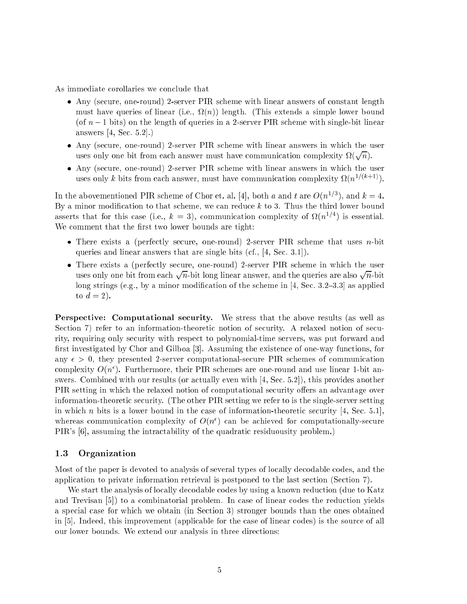As immediate corollaries we conclude that

- Any (secure, one-round) 2-server PIR scheme with linear answers of constant length must have queries of linear (i.e.,  $\Omega(n)$ ) length. (This extends a simple lower bound (of  $n-1$  bits) on the length of queries in a 2-server PIR scheme with single-bit linear answers [4, Sec. 5.2].)
- Any (secure, one-round) 2-server PIR scheme with linear answers in which the user uses only one bit from each answer must have communication complexity  $\Omega(\sqrt{n})$ .
- Any (secure, one-round) 2-server PIR scheme with linear answers in which the user uses only k bits from each answer, must have communication complexity  $\Omega(n^{1/(k+1)})$ .

In the abovementioned PIR scheme of Chor et. al. [4], both a and t are  $O(n^{1/3})$ , and  $k=4$ . By a minor modification to that scheme, we can reduce  $k$  to 3. Thus the third lower bound asserts that for this case (i.e.,  $k = 3$ ), communication complexity of  $\Omega(n^{1/4})$  is essential. We comment that the first two lower bounds are tight:

- There exists a (perfectly secure, one-round) 2-server PIR scheme that uses n-bit queries and linear answers that are single bits (cf., [4, Sec. 3.1]).
- There exists a (perfectly secure, one-round) 2-server PIR scheme in which the user uses only one bit from each  $\sqrt{n}$ -bit long linear answer, and the queries are also  $\sqrt{n}$ -bit long strings (e.g., by a minor modification of the scheme in  $[4, Sec. 3.2–3.3]$  as applied to  $d=2$ ).

Perspective: Computational security. We stress that the above results (as well as Section 7) refer to an information-theoretic notion of security. A relaxed notion of security, requiring only security with respect to polynomial-time servers, was put forward and first investigated by Chor and Gilboa [3]. Assuming the existence of one-way functions, for any  $\epsilon > 0$ , they presented 2-server computational-secure PIR schemes of communication complexity  $O(n^{\epsilon})$ . Furthermore, their PIR schemes are one-round and use linear 1-bit answers. Combined with our results (or actually even with [4, Sec. 5.2]), this provides another PIR setting in which the relaxed notion of computational security offers an advantage over information-theoretic security. (The other PIR setting we refer to is the single-server setting in which n bits is a lower bound in the case of information-theoretic security  $[4, \text{Sec. 5.1}],$ whereas communication complexity of  $O(n^{\epsilon})$  can be achieved for computationally-secure PIR's [6], assuming the intractability of the quadratic residuousity problem.)

### 1.3 Organization

Most of the paper is devoted to analysis of several types of locally decodable codes, and the application to private information retrieval is postponed to the last section (Section 7).

We start the analysis of locally decodable codes by using a known reduction (due to Katz and Trevisan [5]) to a combinatorial problem. In case of linear codes the reduction yields a special case for which we obtain (in Section 3) stronger bounds than the ones obtained in [5]. Indeed, this improvement (applicable for the case of linear codes) is the source of all our lower bounds. We extend our analysis in three directions: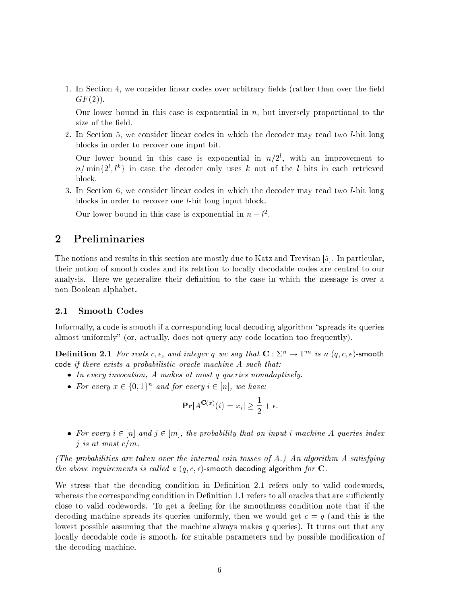1. In Section 4, we consider linear codes over arbitrary fields (rather than over the field  $GF(2)$ ).

Our lower bound in this case is exponential in  $n$ , but inversely proportional to the size of the field.

2. In Section 5, we consider linear codes in which the decoder may read two l-bit long blocks in order to recover one input bit.

Our lower bound in this case is exponential in  $n/2^l$ , with an improvement to  $n/\min\{2^l, l^k\}$  in case the decoder only uses k out of the l bits in each retrieved block.

3. In Section 6, we consider linear codes in which the decoder may read two l-bit long blocks in order to recover one l-bit long input block.

Our lower bound in this case is exponential in  $n-l^2$ .

## 2 Preliminaries

The notions and results in this section are mostly due to Katz and Trevisan [5]. In particular, their notion of smooth codes and its relation to locally decodable codes are central to our analysis. Here we generalize their definition to the case in which the message is over a non-Boolean alphabet.

### 2.1 Smooth Codes

Informally, a code is smooth if a corresponding local decoding algorithm "spreads its queries almost uniformly" (or, actually, does not query any code location too frequently).

**Dennition 2.1** For reals c,  $\epsilon$ , and integer q we say that  $\mathbf{C}: \Sigma^n \to \Gamma^m$  is a  $(q, c, \epsilon)$ -smooth code if there exists a probabilistic oracle machine A such that:

- In every invocation, A makes at most q queries nonadaptively.
- For every  $x \in \{0,1\}^n$  and for every  $i \in [n]$ , we have:

$$
\mathbf{Pr}[A^{\mathbf{C}(x)}(i) = x_i] \ge \frac{1}{2} + \epsilon.
$$

• For every  $i \in [n]$  and  $j \in [m]$ , the probability that on input i machine A queries index j is at most  $c/m$ .

(The probabilities are taken over the internal coin tosses of A.) An algorithm A satisfying the above requirements is called a  $(q, c, \epsilon)$ -smooth decoding algorithm for C.

We stress that the decoding condition in Definition 2.1 refers only to valid codewords, whereas the corresponding condition in Definition 1.1 refers to all oracles that are sufficiently close to valid codewords. To get a feeling for the smoothness condition note that if the decoding machine spreads its queries uniformly, then we would get  $c = q$  (and this is the lowest possible assuming that the machine always makes  $q$  queries). It turns out that any locally decodable code is smooth, for suitable parameters and by possible modification of the decoding machine.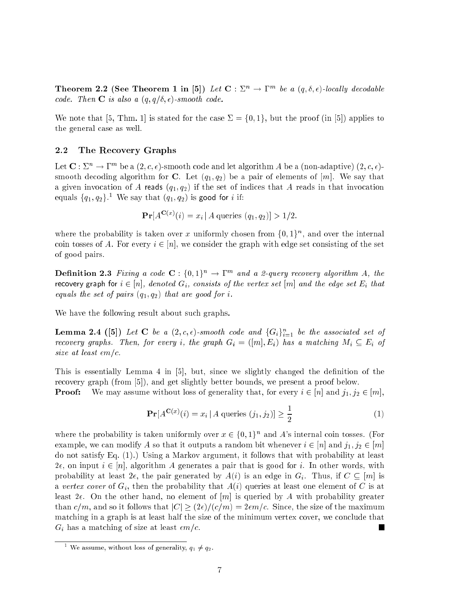Theorem 2.2 (See Theorem 1 in [5]) Let  $\mathbf{C} : \Sigma^n \to \Gamma^m$  be a  $(q, \delta, \epsilon)$ -locally decodable code. Then **C** is also a  $(q, q/\delta, \epsilon)$ -smooth code.

We note that [5, Thm. 1] is stated for the case  $\Sigma = \{0,1\}$ , but the proof (in [5]) applies to the general case as well.

### 2.2 The Recovery Graphs

Let  $\mathbf{C}: \Sigma^n \to \Gamma^m$  be a  $(2, c, \epsilon)$ -smooth code and let algorithm A be a (non-adaptive)  $(2, c, \epsilon)$ smooth decoding algorithm for C. Let  $(q_1, q_2)$  be a pair of elements of [m]. We say that a given invocation of A reads  $(q_1, q_2)$  if the set of indices that A reads in that invocation equals  ${q_1, q_2}$ . We say that  $(q_1, q_2)$  is good for *i* if:

$$
\Pr[A^{\mathbf{C}(x)}(i) = x_i | A \text{ queries } (q_1, q_2)] > 1/2.
$$

where the probability is taken over x uniformly chosen from  $\{0,1\}^n$ , and over the internal coin tosses of A. For every  $i \in [n]$ , we consider the graph with edge set consisting of the set of good pairs.

**Definition 2.3** Fixing a code  $\mathbf{C}$  :  $\{0,1\}^n \to \Gamma^m$  and a 2-query recovery algorithm A, the recovery graph for  $i \in [n]$ , denoted  $G_i$ , consists of the vertex set  $[m]$  and the edge set  $E_i$  that equals the set of pairs  $(q_1, q_2)$  that are good for i.

We have the following result about such graphs.

**Lemma 2.4** ([5]) Let C be a  $(2, c, \epsilon)$ -smooth code and  $\{G_i\}_{i=1}^n$  be the associated set of recovery graphs. Then, for every i, the graph  $G_i = ([m], E_i)$  has a matching  $M_i \subseteq E_i$  of size at least  $\epsilon m/c$ .

This is essentially Lemma 4 in [5], but, since we slightly changed the definition of the recovery graph (from [5]), and get slightly better bounds, we present a proof below. **Proof:** We may assume without loss of generality that, for every  $i \in [n]$  and  $j_1, j_2 \in [m]$ ,

$$
\Pr[A^{\mathbf{C}(x)}(i) = x_i | A \text{ queries } (j_1, j_2)] \ge \frac{1}{2}
$$
 (1)

where the probability is taken uniformly over  $x \in \{0,1\}^n$  and A's internal coin tosses. (For example, we can modify A so that it outputs a random bit whenever  $i \in [n]$  and  $j_1, j_2 \in [m]$ do not satisfy Eq. (1).) Using a Markov argument, it follows that with probability at least  $2\epsilon$ , on input  $i \in [n]$ , algorithm A generates a pair that is good for i. In other words, with probability at least  $2\epsilon$ , the pair generated by  $A(i)$  is an edge in  $G_i$ . Thus, if  $C \subseteq [m]$  is a vertex cover of  $G_i$ , then the probability that  $A(i)$  queries at least one element of C is at least  $2\epsilon$ . On the other hand, no element of [m] is queried by A with probability greater than  $c/m$ , and so it follows that  $|C| \geq (2\epsilon)/(c/m) = 2\epsilon m/c$ . Since, the size of the maximum matching in a graph is at least half the size of the minimum vertex cover, we conclude that  $G_i$  has a matching of size at least  $\epsilon m/c$ . п

we assume, without loss of generality,  $q_1 \neq q_2$ .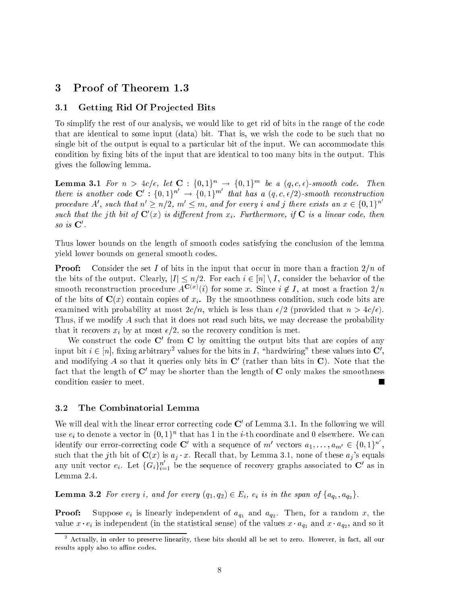### 3 Proof of Theorem 1.3

### 3.1 Getting Rid Of Projected Bits

To simplify the rest of our analysis, we would like to get rid of bits in the range of the code that are identical to some input (data) bit. That is, we wish the code to be such that no single bit of the output is equal to a particular bit of the input. We can accommodate this condition by fixing bits of the input that are identical to too many bits in the output. This gives the following lemma.

**Lemma 3.1** For  $n > 4c/\epsilon$ , let  $\mathbf{C} : \{0,1\}^n \rightarrow \{0,1\}^m$  be a  $(q,c,\epsilon)$ -smooth code. Then there is another code  $\mathbf{C}' : \{0,1\}^{n'} \to \{0,1\}^{m'}$  that has a  $(q,c,\epsilon/2)$ -smooth reconstruction procedure A', such that  $n' \geq n/2$ ,  $m' \leq m$ , and for every i and j there exists an  $x \in \{0,1\}^{n'}$ such that the jth bit of  $\mathbf{C}'(x)$  is different from  $x_i$ . Furthermore, if  $\mathbf{C}$  is a linear code, then  $so\;us\; \mathbf{\cup}$  .

Thus lower bounds on the length of smooth codes satisfying the conclusion of the lemma yield lower bounds on general smooth codes.

**Proof:** Consider the set I of bits in the input that occur in more than a fraction  $2/n$  of the bits of the output. Clearly,  $|I| \leq n/2$ . For each  $i \in [n] \setminus I$ , consider the behavior of the smooth reconstruction procedure  $A^{\mathbf{C}(x)}(i)$  for some x. Since  $i \notin I$ , at most a fraction  $2/n$ of the bits of  $\mathbf{C}(x)$  contain copies of  $x_i$ . By the smoothness condition, such code bits are examined with probability at most  $2c/n$ , which is less than  $\epsilon/2$  (provided that  $n > 4c/\epsilon$ ). Thus, if we modify A such that it does not read such bits, we may decrease the probability that it recovers  $x_i$  by at most  $\epsilon/2$ , so the recovery condition is met.

We construct the code  $\mathbb C$  from  $\mathbb C$  by omitting the output bits that are copies of any input bit  $i \in [n]$ , fixing arbitrary<sup>2</sup> values for the bits in I, "hardwiring" these values into  $\mathbb{C}'$ , and modifying A so that it queries only bits in  $\mathbb{C}'$  (rather than bits in  $\mathbb{C}$ ). Note that the fact that the length of  $\mathbf{C}'$  may be shorter than the length of  $\mathbf{C}$  only makes the smoothness condition easier to meet.

#### 3.2 The Combinatorial Lemma

We will deal with the linear error correcting code  $\mathbb C$  of Lemma 3.1. In the following we will use  $e_i$  to denote a vector in  $\{0,1\}^n$  that has 1 in the *i*-th coordinate and 0 elsewhere. We can identify our error-correcting code C' with a sequence of m' vectors  $a_1, \ldots, a_{m'} \in \{0,1\}^n$ , such that the j<sup>th</sup> bit of  $C(x)$  is  $a_j \cdot x$ . Recall that, by Lemma 3.1, none of these  $a_j$ 's equals any unit vector  $e_i$ . Let  $\{G_i\}_{i=1}^n$  be the sequence of recovery graphs associated to  $\mathbf{C}'$  as in Lemma 2.4.

**Lemma 3.2** For every i, and for every  $(q_1, q_2) \in E_i$ ,  $e_i$  is in the span of  $\{a_{q_1}, a_{q_2}\}\$ .

**Proof:** Suppose  $e_i$  is linearly independent of  $a_{q_1}$  and  $a_{q_2}$ . Then, for a random x, the value  $x \cdot e_i$  is independent (in the statistical sense) of the values  $x \cdot a_{q_1}$  and  $x \cdot a_{q_2},$  and so it

<sup>2</sup> Actually, in order to preserve linearity, these bits should all be set to zero. However, in fact, all our results apply also to affine codes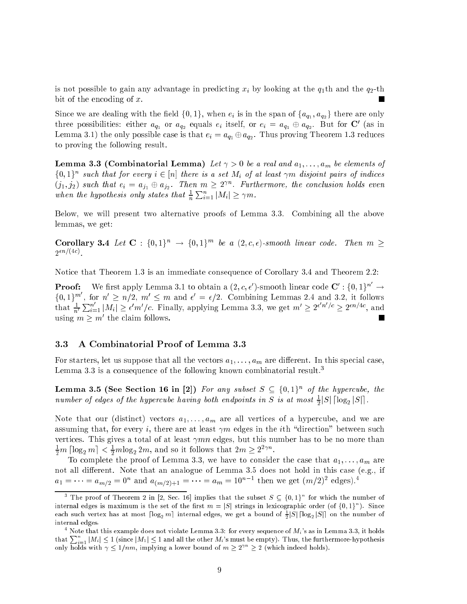is not possible to gain any advantage in predicting  $x_i$  by looking at the  $q_1$ th and the  $q_2$ -th bit of the encoding of x.

Since we are dealing with the field  $\{0,1\},$  when  $e_i$  is in the span of  $\{a_{q_1},a_{q_2}\}$  there are only three possibilities: either  $a_{q_1}$  or  $a_{q_2}$  equals  $e_i$  itself, or  $e_i = a_{q_1} \oplus a_{q_2}$ . But for  ${\bf C}$  (as in Lemma 3.1) the only possible case is that  $e_i = a_{q_1} \oplus a_{q_2}.$  Thus proving Theorem 1.3 reduces to proving the following result.

**Lemma 3.3 (Combinatorial Lemma)** Let  $\gamma > 0$  be a real and  $a_1, \ldots, a_m$  be elements of  $\{0,1\}^n$  such that for every  $i \in [n]$  there is a set  $M_i$  of at least  $\gamma m$  disjoint pairs of indices  $(j_1, j_2)$  such that  $e_i = a_{j_1} \oplus a_{j_2}$ . Then  $m \geq 2^{\gamma n}$ . Furthermore, the conclusion holds even when the hypothesis only states that  $\frac{\pi}{n}$  $\sum_{i=1}^n |M_i| \ge \gamma m$ .

Below, we will present two alternative proofs of Lemma 3.3. Combining all the above lemmas, we get:

Corollary 3.4 Let  $C: \{0,1\}^n \rightarrow \{0,1\}^m$  be a  $(2,c,\epsilon)$ -smooth linear code. Then  $m \geq$  $2^{\epsilon n/(4c)}$ 

Notice that Theorem 1.3 is an immediate consequence of Corollary 3.4 and Theorem 2.2:

**Proof:** We first apply Lemma 3.1 to obtain a  $(2, c, \epsilon')$ -smooth linear code  $\mathbf{C}' : \{0,1\}^n \to$  $\{0,1\}^m$ , for  $n' \geq n/2$ ,  $m' \leq m$  and  $\epsilon' = \epsilon/2$ . Combining Lemmas 2.4 and 3.2, it follows that  $\frac{1}{n'}$  $\sum_{i=1}^n |M_i| \geq \epsilon' m'/c$ . Finally, applying Lemma 3.3, we get  $m' \geq 2^{\epsilon' n'/c} \geq 2^{\epsilon n/4c}$ , and using  $m > m$  the claim follows.

### 3.3 A Combinatorial Proof of Lemma 3.3

For starters, let us suppose that all the vectors  $a_1, \ldots, a_m$  are different. In this special case, Lemma 3.3 is a consequence of the following known combinatorial result.<sup>3</sup>

**Lemma 3.5 (See Section 16 in 2.)** For any subset  $S \subseteq \{0,1\}^n$  of the hypercube, the number of edges of the hypercube having both endpoints in S is at most  $\frac{1}{2}|S|\log_2 |S||$ .

Note that our (distinct) vectors  $a_1, \ldots, a_m$  are all vertices of a hypercube, and we are assuming that, for every *i*, there are at least  $\gamma m$  edges in the *i*th "direction" between such vertices. This gives a total of at least  $\gamma mn$  edges, but this number has to be no more than  $\frac{1}{2}m\left\vert \log_{2}m\right\vert <\frac{1}{2}m\log_{2}2m,$  and so it follows that  $2m\geq2^{2\gamma n}.$ 

To complete the proof of Lemma 3.3, we have to consider the case that  $a_1, \ldots, a_m$  are not all different. Note that an analogue of Lemma 3.5 does not hold in this case (e.g., if  $a_1 = \cdots = a_{m/2} = 0^n$  and  $a_{(m/2)+1} = \cdots = a_m = 10^{n-1}$  then we get  $(m/2)^2$  edges).<sup>4</sup>

The proof of Theorem 2 in [2, Sec. 16] implies that the subset  $S \subseteq \{0,1\}^{\circ}$  for which the number of internal edges is maximum is the set of the first  $m=|\mathcal{S}|$  strings in lexicographic order (of {0, 1}"). Since each such vertex has at most  $\lceil \log_2 m \rceil$  internal edges, we get a bound of  $\frac{1}{2}|\mathcal{S}|\lceil \log_2 |\mathcal{S}|\rceil$  on the number of internal edges.

 $^4$  Note that this example does not violate Lemma 3.3: for every sequence of  $M_i$ 's as in Lemma 3.3, it holds that  $\sum_{i=1}^n |M_i| \le 1$  (since  $|M_1| \le 1$  and all the other  $M_i$ 's must be empty). Thus, the furthermore-hypothesis only holds with  $\gamma \leq 1/nm$ , implying a lower bound of  $m \geq 2$  (  $\gamma \geq 2$  (which indeed holds).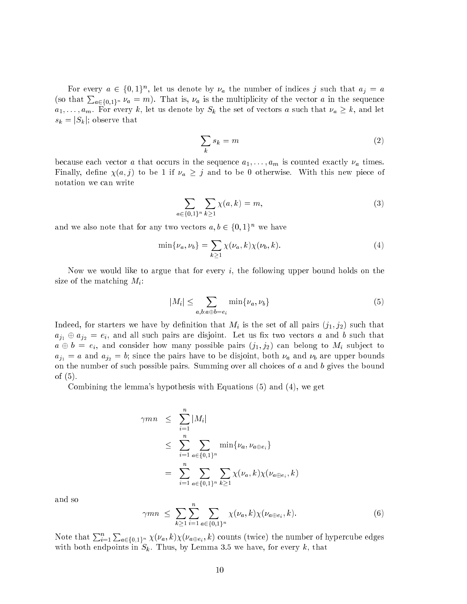For every  $a \in \{0,1\}^n$ , let us denote by  $\nu_a$  the number of indices j such that  $a_j = a$ (so that  $\sum_{a\in\{0,1\}^n} \nu_a = m$ ). That is,  $\nu_a$  is the multiplicity of the vector a in the sequence  $a_1, \ldots, a_m$ . For every k, let us denote by  $S_k$  the set of vectors a such that  $\nu_a \geq k$ , and let  $s_k = |S_k|$ ; observe that

$$
\sum_{k} s_k = m \tag{2}
$$

because each vector a that occurs in the sequence  $a_1, \ldots, a_m$  is counted exactly  $\nu_a$  times. Finally, define  $\chi(a, j)$  to be 1 if  $\nu_a \geq j$  and to be 0 otherwise. With this new piece of notation we can write

$$
\sum_{a \in \{0,1\}^n} \sum_{k \ge 1} \chi(a, k) = m,\tag{3}
$$

and we also note that for any two vectors  $a, b \in \{0, 1\}^n$  we have

$$
\min\{\nu_a,\nu_b\} = \sum_{k\geq 1} \chi(\nu_a,k)\chi(\nu_b,k). \tag{4}
$$

Now we would like to argue that for every  $i$ , the following upper bound holds on the size of the matching  $M_i$ :

$$
|M_i| \leq \sum_{a,b:a \oplus b=e_i} \min\{\nu_a, \nu_b\} \tag{5}
$$

Indeed, for starters we have by definition that  $M_i$  is the set of all pairs  $(j_1, j_2)$  such that  $a_{j1} \oplus a_{j2} = e_i$ , and all such pairs are disjoint. Let us fix two vectors a and b such that  $a \oplus b = e_i$ , and consider how many possible pairs  $(j_1, j_2)$  can belong to  $M_i$  subject to  $a_{j1} = a$  and  $a_{j2} = b$ ; since the pairs have to be disjoint, both  $\nu_a$  and  $\nu_b$  are upper bounds on the number of such possible pairs. Summing over all choices of  $a$  and  $b$  gives the bound of (5).

Combining the lemma's hypothesis with Equations (5) and (4), we get

$$
\gamma mn \leq \sum_{i=1}^{n} |M_i|
$$
  
\n
$$
\leq \sum_{i=1}^{n} \sum_{a \in \{0,1\}^n} \min\{\nu_a, \nu_{a \oplus e_i}\}
$$
  
\n
$$
= \sum_{i=1}^{n} \sum_{a \in \{0,1\}^n} \sum_{k \geq 1} \chi(\nu_a, k) \chi(\nu_{a \oplus e_i}, k)
$$

and so

$$
\gamma mn \leq \sum_{k \geq 1} \sum_{i=1}^{n} \sum_{a \in \{0,1\}^n} \chi(\nu_a, k) \chi(\nu_{a \oplus e_i}, k). \tag{6}
$$

Note that  $\sum_{i=1}^n$  $\sum_{a\in\{0,1\}^n}\chi(\nu_a,k)\chi(\nu_{a\oplus e_i},k)$  counts (twice) the number of hypercube edges with both endpoints in  $S_k$ . Thus, by Lemma 3.5 we have, for every k, that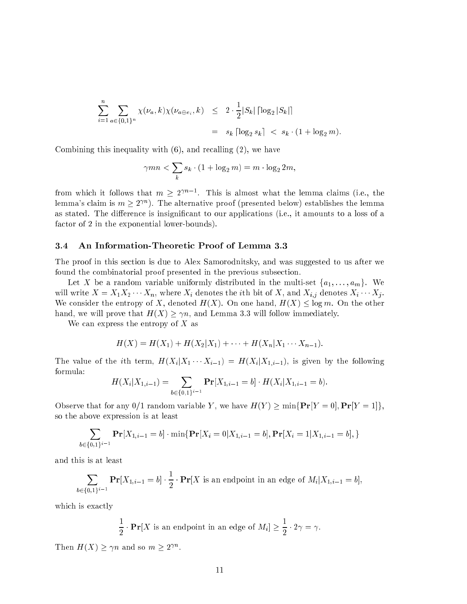$$
\sum_{i=1}^{n} \sum_{a \in \{0,1\}^n} \chi(\nu_a, k) \chi(\nu_{a \oplus e_i}, k) \leq 2 \cdot \frac{1}{2} |S_k| \left[ \log_2 |S_k| \right]
$$
  
=  $s_k \left[ \log_2 s_k \right] < s_k \cdot (1 + \log_2 m).$ 

Combining this inequality with (6), and recalling (2), we have

$$
\gamma mn < \sum_{k} s_k \cdot (1 + \log_2 m) = m \cdot \log_2 2m,
$$

from which it follows that  $m > 2^{n}$  . This is almost what the lemma claims (i.e., the lemma's claim is  $m \geq 2^{\gamma n}$ ). The alternative proof (presented below) establishes the lemma as stated. The difference is insignificant to our applications (i.e., it amounts to a loss of a factor of 2 in the exponential lower-bounds).

### 3.4 An Information-Theoretic Proof of Lemma 3.3

The proof in this section is due to Alex Samorodnitsky, and was suggested to us after we found the combinatorial proof presented in the previous subsection.

Let X be a random variable uniformly distributed in the multi-set  $\{a_1, \ldots, a_m\}$ . We will write  $X = X_1 X_2 \cdots X_n$ , where  $X_i$  denotes the *i*th bit of X, and  $X_{i,j}$  denotes  $X_i \cdots X_j$ . We consider the entropy of X, denoted  $H(X)$ . On one hand,  $H(X) \leq \log m$ . On the other hand, we will prove that  $H(X) \geq \gamma n$ , and Lemma 3.3 will follow immediately.

We can express the entropy of  $X$  as

$$
H(X) = H(X_1) + H(X_2|X_1) + \cdots + H(X_n|X_1 \cdots X_{n-1}).
$$

The value of the *i*th term,  $H(X_i | X_1 \cdots X_{i-1}) = H(X_i | X_{1,i-1})$ , is given by the following formula:

$$
H(X_i|X_{1,i-1}) = \sum_{b \in \{0,1\}^{i-1}} \mathbf{Pr}[X_{1,i-1} = b] \cdot H(X_i|X_{1,i-1} = b).
$$

Observe that for any 0/1 random variable Y, we have  $H(Y) \ge \min\{Pr[Y=0], Pr[Y=1]\},$ so the above expression is at least

$$
\sum_{b \in \{0,1\}^{i-1}} \mathbf{Pr}[X_{1,i-1} = b] \cdot \min\{\mathbf{Pr}[X_i = 0 | X_{1,i-1} = b], \mathbf{Pr}[X_i = 1 | X_{1,i-1} = b],\}
$$

and this is at least

$$
\sum_{b \in \{0,1\}^{i-1}} \mathbf{Pr}[X_{1,i-1} = b] \cdot \frac{1}{2} \cdot \mathbf{Pr}[X \text{ is an endpoint in an edge of } M_i | X_{1,i-1} = b],
$$

which is exactly

$$
\frac{1}{2} \cdot \mathbf{Pr}[X \text{ is an endpoint in an edge of } M_i] \ge \frac{1}{2} \cdot 2\gamma = \gamma.
$$

Then  $H(X) \geq \gamma n$  and so  $m \geq 2^{\gamma n}$ .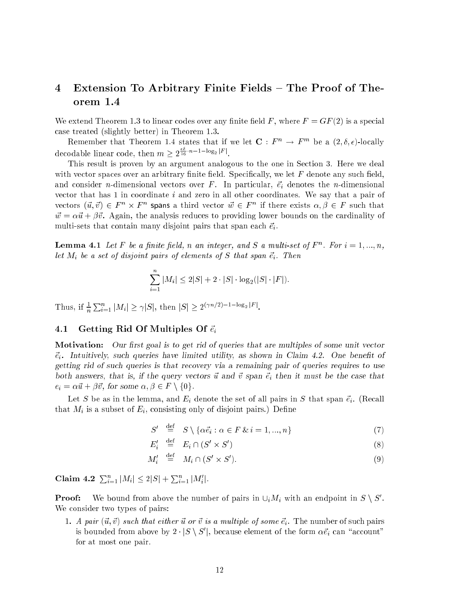# 4 Extension To Arbitrary Finite Fields – The Proof of Theorem 1.4

We extend Theorem 1.3 to linear codes over any finite field F, where  $F = GF(2)$  is a special case treated (slightly better) in Theorem 1.3.

Remember that Theorem 1.4 states that if we let  $\mathbf{C}: F^n \to F^m$  be a  $(2,\delta,\epsilon)$ -locally decodable linear code, then  $m \geq 2^{\frac{n}{16} \cdot n - 1 - \log_2 |F|}$ .

This result is proven by an argument analogous to the one in Section 3. Here we deal with vector spaces over an arbitrary finite field. Specifically, we let  $F$  denote any such field, and consider *n*-dimensional vectors over F. In particular,  $\vec{e}_i$  denotes the *n*-dimensional vector that has  $1$  in coordinate  $i$  and zero in all other coordinates. We say that a pair of vectors  $(\vec{u}, \vec{v}) \in F^n \times F^n$  spans a third vector  $\vec{w} \in F^n$  if there exists  $\alpha, \beta \in F$  such that  $\vec{w} = \alpha \vec{u} + \beta \vec{v}$ . Again, the analysis reduces to providing lower bounds on the cardinality of multi-sets that contain many disjoint pairs that span each  $\vec{e}_i$ .

**Lemma 4.1** Let F be a finite field, n an integer, and S a multi-set of  $F^n$ . For  $i = 1, ..., n$ , let  $M_i$  be a set of disjoint pairs of elements of S that span  $\vec{e}_i$ . Then

$$
\sum_{i=1}^{n} |M_i| \le 2|S| + 2 \cdot |S| \cdot \log_2(|S| \cdot |F|).
$$

 $1 \text{ mus}, \text{ II } \frac{2}{n}$  $\sum_{i=1}^n |M_i| \geq \gamma |S|$ , then  $|S| \geq 2^{(\gamma n/2)-1-\log_2 |F|}$ .

### 4.1 Getting Rid Of Multiples Of  $\vec{e}_i$

Motivation: Our first goal is to get rid of queries that are multiples of some unit vector  $\vec{e}_i$ . Intuitively, such queries have limited utility, as shown in Claim 4.2. One benefit of getting rid of such queries is that recovery via a remaining pair of queries requires to use both answers, that is, if the query vectors  $\vec{u}$  and  $\vec{v}$  span  $\vec{e}_i$  then it must be the case that  $e_i = \alpha \vec{u} + \beta \vec{v}$ , for some  $\alpha, \beta \in F \setminus \{0\}$ .

Let S be as in the lemma, and  $E_i$  denote the set of all pairs in S that span  $\vec{e}_i$ . (Recall that  $M_i$  is a subset of  $E_i$ , consisting only of disjoint pairs.) Define

$$
S' \stackrel{\text{def}}{=} S \setminus \{ \alpha \vec{e}_i : \alpha \in F \& i = 1, ..., n \}
$$
 (7)

 $E_i' \equiv E_i \cap (S' \times S')$ ) the contract of  $\mathcal{S}$  (8) and  $\mathcal{S}$  (8) and  $\mathcal{S}$  (8) and  $\mathcal{S}$  (8) and  $\mathcal{S}$  (8) and  $\mathcal{S}$  (8) and  $\mathcal{S}$  (8) and  $\mathcal{S}$  (8) and  $\mathcal{S}$  (8) and  $\mathcal{S}$  (8) and  $\mathcal{S}$  (8) and  $\mathcal{S}$  (8) and

$$
M'_i \stackrel{\text{def}}{=} M_i \cap (S' \times S'). \tag{9}
$$

Claim 4.2  $\sum_{i=1}^n |M_i| \leq 2|S| + \sum_{i=1}^n |M_i'|$ .

**Proof:** We bound from above the number of pairs in  $\cup_i M_i$  with an endpoint in  $S \setminus S'$ . We consider two types of pairs:

1. A pair  $(\vec{u}, \vec{v})$  such that either  $\vec{u}$  or  $\vec{v}$  is a multiple of some  $\vec{e}_i$ . The number of such pairs is bounded from above by  $2 \cdot |S \setminus S'|$ , because element of the form  $\alpha \vec{e}_i$  can "account" for at most one pair.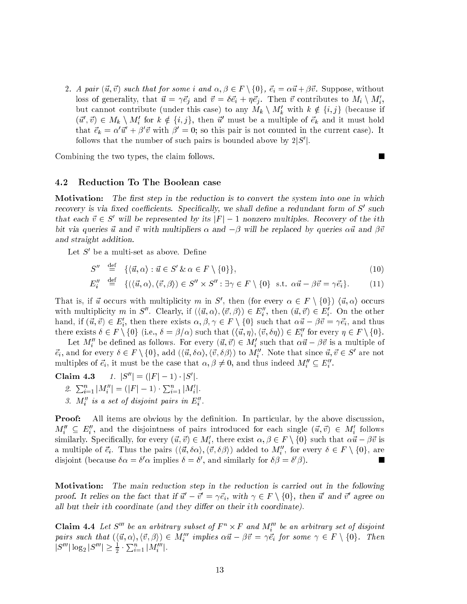2. A pair  $(\vec{u}, \vec{v})$  such that for some i and  $\alpha, \beta \in F \setminus \{0\}$ ,  $\vec{e}_i = \alpha \vec{u} + \beta \vec{v}$ . Suppose, without loss of generality, that  $\vec{u} = \gamma \vec{e}_i$  and  $\vec{v} = \delta \vec{e}_i + \eta \vec{e}_i$ . Then  $\vec{v}$  contributes to  $M_i \setminus M'_i$ , but cannot contribute (under this case) to any  $M_k \setminus M'_k$  with  $k \notin \{i, j\}$  (because if  $(\vec{u}', \vec{v}) \in M_k \setminus M'_i$  for  $k \notin \{i, j\}$ , then  $\vec{u}'$  must be a multiple of  $\vec{e}_k$  and it must hold that  $\vec{e}_k = \alpha' \vec{u}' + \beta' \vec{v}$  with  $\beta' = 0$ ; so this pair is not counted in the current case). It follows that the number of such pairs is bounded above by  $2|S'|$ .

Combining the two types, the claim follows.

### 4.2 Reduction To The Boolean case

Motivation: The first step in the reduction is to convert the system into one in which recovery is via fixed coefficients. Specifically, we shall define a redundant form of  $S'$  such that each  $\vec{v} \in S'$  will be represented by its  $|F| - 1$  nonzero multiples. Recovery of the ith bit via queries  $\vec{u}$  and  $\vec{v}$  with multipliers  $\alpha$  and  $-\beta$  will be replaced by queries  $\alpha \vec{u}$  and  $\beta \vec{v}$ and straight addition.

Let  $S^\prime$  be a multi-set as above. Define

$$
S'' \stackrel{\text{def}}{=} \{ \langle \vec{u}, \alpha \rangle : \vec{u} \in S' \& \alpha \in F \setminus \{0\} \},\tag{10}
$$

$$
E_i'' \stackrel{\text{def}}{=} \{ (\langle \vec{u}, \alpha \rangle, \langle \vec{v}, \beta \rangle) \in S'' \times S'' : \exists \gamma \in F \setminus \{0\} \text{ s.t. } \alpha \vec{u} - \beta \vec{v} = \gamma \vec{e}_i \}. \tag{11}
$$

<sup>i</sup>

ш

That is, if  $\vec{u}$  occurs with multiplicity m in S', then (for every  $\alpha \in F \setminus \{0\}$ )  $\langle \vec{u}, \alpha \rangle$  occurs with multiplicity m in S''. Clearly, if  $(\langle \vec{u}, \alpha \rangle, \langle \vec{v}, \beta \rangle) \in E''_i$ , then  $(\vec{u}, \vec{v}) \in E'_i$ . On the other hand, if  $(\vec{u}, \vec{v}) \in E'_i$ , then there exists  $\alpha, \beta, \gamma \in F \setminus \{0\}$  such that  $\alpha \vec{u} - \beta \vec{v} = \gamma \vec{e}_i$ , and thus there exists  $\delta \in F \setminus \{0\}$  (i.e.,  $\delta = \beta/\alpha$ ) such that  $(\langle \vec{u}, \eta \rangle, \langle \vec{v}, \delta \eta \rangle) \in E''_i$  for every  $\eta \in F \setminus \{0\}.$ 

Let  $M''_i$  be defined as follows. For every  $(\vec{u},\vec{v})\in M'_i$  such that  $\alpha\vec{u}-\beta\vec{v}$  is a multiple of  $\vec{e}_i$ , and for every  $\delta \in F \setminus \{0\}$ , add  $(\langle \vec{u}, \delta \alpha \rangle, \langle \vec{v}, \delta \beta \rangle)$  to  $M''_i$ . Note that since  $\vec{u}, \vec{v} \in S'$  are not multiples of  $\vec{e}_i$ , it must be the case that  $\alpha, \beta \neq 0$ , and thus indeed  $M''_i \subseteq E''_i$ .

Claim 4.3  $1. |S''| = (|F| - 1) \cdot |S'|$ . 2.  $\sum_{i=1}^n |M''_i| = (|F| - 1) \cdot \sum_{i=1}^n |M'_i|$ . 3.  $M''$  is a set of disjoint pairs in  $E''$ .

**Proof:** All items are obvious by the definition. In particular, by the above discussion,  $M''_i \subseteq E''_i$ , and the disjointness of pairs introduced for each single  $(\vec{u}, \vec{v}) \in M'_i$  follows <sup>i</sup> <sup>i</sup> similarly. Specifically, for every  $(\vec{u}, \vec{v}) \in M'_i$ , there exist  $\alpha, \beta \in F \setminus \{0\}$  such that  $\alpha \vec{u} - \beta \vec{v}$  is <sup>i</sup> a multiple of  $\vec{e}_i$ . Thus the pairs  $(\langle \vec{u}, \delta \alpha \rangle, \langle \vec{v}, \delta \beta \rangle)$  added to  $M''_i$ , for every  $\delta \in F \setminus \{0\}$ , are disjoint (because  $\delta \alpha = \delta' \alpha$  implies  $\delta = \delta'$ , and similarly for  $\delta \beta = \delta' \beta$ ). 

Motivation: The main reduction step in the reduction is carried out in the following proof. It relies on the fact that if  $\vec{u}' - \vec{v}' = \gamma \vec{e}_i$ , with  $\gamma \in F \setminus \{0\}$ , then  $\vec{u}'$  and  $\vec{v}'$  agree on all but their ith coordinate (and they differ on their ith coordinate).

**Claim 4.4** Let S<sup>tm</sup> be an arbitrary subset of  $F^n \times F$  and  $M_1^{\prime\prime\prime}$  be an arbitrary set of disjoint pairs such that  $(\langle \vec{u}, \alpha \rangle, \langle \vec{v}, \beta \rangle) \in M'''_i$  implies  $\alpha \vec{u} - \beta \vec{v} = \gamma \vec{e_i}$  for some  $\gamma \in F \setminus \{0\}$ . Then  $|S'''| \log_2 |S'''| \geq \frac{1}{2} \cdot \sum_{i=1}^n |M''_i|.$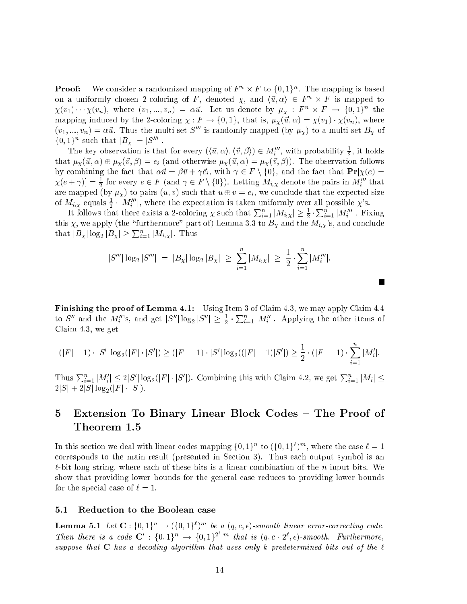**Proof:** We consider a randomized mapping of  $F^n \times F$  to  $\{0,1\}^n$ . The mapping is based on a uniformly chosen 2-coloring of F, denoted  $\chi$ , and  $\langle \vec{u}, \alpha \rangle \in F^n \times F$  is mapped to  $\chi(v_1)\cdots\chi(v_n)$ , where  $(v_1,...,v_n) = \alpha \vec{u}$ . Let us denote by  $\mu_\chi : F^n \times F \to \{0,1\}^n$  the mapping induced by the 2-coloring  $\chi : F \to \{0,1\}$ , that is,  $\mu_\chi(\vec{u}, \alpha) = \chi(v_1) \cdot \chi(v_n)$ , where  $(v_1, ..., v_n) = \alpha \vec{u}$ . Thus the multi-set  $S'''$  is randomly mapped (by  $\mu_{\chi}$ ) to a multi-set  $B_{\chi}$  of  ${0,1}^n$  such that  $|B_{\gamma}| = |S^{\prime\prime\prime}|$ .

The key observation is that for every  $(\langle \vec{u}, \alpha \rangle, \langle \vec{v}, \beta \rangle) \in M'''_i$ , with probability  $\frac{1}{2}$ , it holds that  $\mu_\chi(\vec{u}, \alpha) \oplus \mu_\chi(\vec{v}, \beta) = e_i$  (and otherwise  $\mu_\chi(\vec{u}, \alpha) = \mu_\chi(\vec{v}, \beta)$ ). The observation follows by combining the fact that  $\alpha \vec{u} = \beta \vec{v} + \gamma \vec{e}_i$ , with  $\gamma \in F \setminus \{0\}$ , and the fact that  $\Pr[\chi(e) =$  $\chi(e + \gamma) = \frac{1}{2}$  for every  $e \in F$  (and  $\gamma \in F \setminus \{0\}$ ). Letting  $M_{i,\chi}$  denote the pairs in  $M_i''$  that are mapped (by  $\mu_{\chi}$ ) to pairs  $(u, v)$  such that  $u \oplus v = e_i$ , we conclude that the expected size of  $M_{i,\chi}$  equals  $\frac{1}{2} \cdot |M_i'''|$ , where the expectation is taken uniformly over all possible  $\chi$ 's.

It follows that there exists a 2-coloring  $\chi$  such that  $\sum_{i=1}^n |M_{i,\chi}| \geq \frac{1}{2} \cdot \sum_{i=1}^n |M'''_i|$ . Fixing this  $\chi$ , we apply (the "furthermore" part of) Lemma 3.3 to  $B_{\chi}$  and the  $M_{i,\chi}$ 's, and conclude that  $|B_{\chi}| \log_2 |B_{\chi}| \geq \sum_{i=1}^n |M_{i,\chi}|$ . Thus

$$
|S'''|\log_2|S'''| = |B_{\chi}|\log_2|B_{\chi}| \ge \sum_{i=1}^n |M_{i,\chi}| \ge \frac{1}{2} \cdot \sum_{i=1}^n |M''_i|.
$$

ш

Finishing the proof of Lemma 4.1: Using Item 3 of Claim 4.3, we may apply Claim 4.4 to S'' and the  $M_i''$ 's, and get  $|S''|\log_2 |S''| \geq \frac{1}{2} \cdot \sum_{i=1}^n |M_i''|$ . Applying the other items of Claim 4.3, we get

$$
(|F|-1)\cdot |S'|\log_2(|F|\cdot |S'|)\ge (|F|-1)\cdot |S'|\log_2((|F|-1)|S'|)\ge \frac{1}{2}\cdot (|F|-1)\cdot \sum_{i=1}^n |M_i'|.
$$

Thus  $\sum_{i=1}^n |M'_i| \leq 2|S'|\log_2(|F| \cdot |S'|)$ . Combining this with Claim 4.2, we get  $\sum_{i=1}^n |M_i| \leq$  $2|S| + 2|S| \log_2(|F| \cdot |S|).$ 

# 5 Extension To Binary Linear Block Codes – The Proof of Theorem 1.5

In this section we deal with linear codes mapping  $\{0,1\}^n$  to  $(\{0,1\}^{\ell})^m$ , where the case  $\ell=1$ corresponds to the main result (presented in Section 3). Thus each output symbol is an  $\ell$ -bit long string, where each of these bits is a linear combination of the n input bits. We show that providing lower bounds for the general case reduces to providing lower bounds for the special case of  $\ell = 1$ .

### 5.1 Reduction to the Boolean case

**Lemma 5.1** Let  $\mathbf{C}$  :  $\{0,1\}^n \to (\{0,1\}^n)^m$  be a  $(q, c, \epsilon)$ -smooth linear error-correcting code. Then there is a code  $\mathbf{C}': \{0,1\}^n \to \{0,1\}^2$  in that is  $(q, c \cdot 2^{\ell}, \epsilon)$ -smooth. Furthermore, suppose that  $C$  has a decoding algorithm that uses only k predetermined bits out of the  $\ell$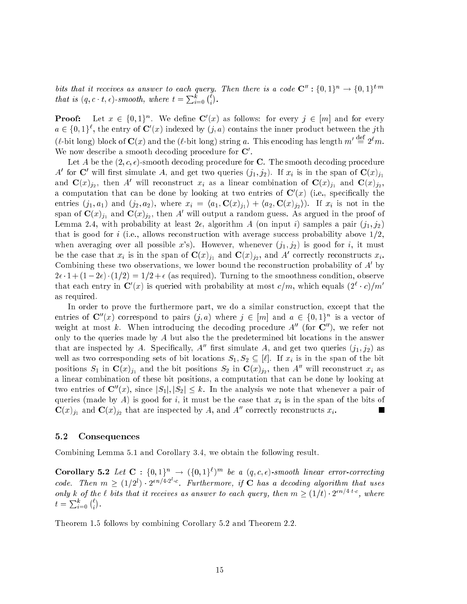bits that it receives as answer to each query. Then there is a code  $\mathbb{C}^n : \{0,1\}^n \to \{0,1\}^{t\cdot m}$ that is  $(q, c \cdot t, \epsilon)$ -smooth, where  $t = \sum_{i=0}^{\kappa} {(\ell \choose i)}$  $\sim$ 

**Proof:** Let  $x \in \{0,1\}^n$ . We define  $\mathbf{C}'(x)$  as follows: for every  $j \in |m|$  and for every  $a \in \{0,1\}^{\ell}$ , the entry of  $\mathbf{C}'(x)$  indexed by  $(j, a)$  contains the inner product between the jth (e-bit long) block of  $\mathbf{C}(x)$  and the (e-bit long) string a. This encoding has length  $m' \stackrel{\text{def}}{=} 2^m$ . we now describe a smooth decoding procedure for  $\mathbf C$ .

Let A be the  $(2, c, \epsilon)$ -smooth decoding procedure for C. The smooth decoding procedure A' for C' will first simulate A, and get two queries  $(j_1, j_2)$ . If  $x_i$  is in the span of  $\mathbf{C}(x)_{j_1}$ and  $\mathbf{C}(x)_{j_2}$ , then A' will reconstruct  $x_i$  as a linear combination of  $\mathbf{C}(x)_{j_1}$  and  $\mathbf{C}(x)_{j_2}$ , a computation that can be done by looking at two entries of  $\mathbf{C}\left(x\right)$  (i.e., specifically the entries  $(j_1, a_1)$  and  $(j_2, a_2)$ , where  $x_i = \langle a_1, \mathbf{C}(x)_{j_1} \rangle + \langle a_2, \mathbf{C}(x)_{j_2} \rangle$ . If  $x_i$  is not in the span of  $\mathbf{C}(x)_{i_1}$  and  $\mathbf{C}(x)_{i_2}$ , then A' will output a random guess. As argued in the proof of Lemma 2.4, with probability at least  $2\epsilon$ , algorithm A (on input i) samples a pair  $(j_1, j_2)$ that is good for i (i.e., allows reconstruction with average success probability above  $1/2$ , when averaging over all possible x's). However, whenever  $(j_1, j_2)$  is good for i, it must be the case that  $x_i$  is in the span of  $\mathbf{C}(x)_{i_1}$  and  $\mathbf{C}(x)_{i_2}$ , and A' correctly reconstructs  $x_i$ . Combining these two observations, we lower bound the reconstruction probability of  $A'$  by  $2\epsilon \cdot 1 + (1-2\epsilon) \cdot (1/2) = 1/2 + \epsilon$  (as required). Turning to the smoothness condition, observe that each entry in  $\mathbf{C}'(x)$  is queried with probability at most  $c/m$ , which equals  $(2^{\ell} \cdot c)/m'$ as required.

In order to prove the furthermore part, we do a similar construction, except that the entries of  $\mathbf{C}''(x)$  correspond to pairs  $(j, a)$  where  $j \in [m]$  and  $a \in \{0,1\}^n$  is a vector of weight at most k. When introducing the decoding procedure  $A''$  (for  $\mathbb{C}''$ ), we refer not only to the queries made by A but also the the predetermined bit locations in the answer that are inspected by A. Specifically,  $A''$  first simulate A, and get two queries  $(j_1, j_2)$  as well as two corresponding sets of bit locations  $S_1, S_2 \subseteq [\ell]$ . If  $x_i$  is in the span of the bit positions  $S_1$  in  $\mathbf{C}(x)_{j_1}$  and the bit positions  $S_2$  in  $\mathbf{C}(x)_{j_2}$ , then A'' will reconstruct  $x_i$  as a linear combination of these bit positions, a computation that can be done by looking at two entries of  $\mathbf{C}''(x)$ , since  $|S_1|, |S_2| \leq k$ . In the analysis we note that whenever a pair of queries (made by A) is good for i, it must be the case that  $x_i$  is in the span of the bits of  $\mathbf{C}(x)_{j_1}$  and  $\mathbf{C}(x)_{j_2}$  that are inspected by A, and A'' correctly reconstructs  $x_i$ . 

### 5.2 Consequences

Combining Lemma 5.1 and Corollary 3.4, we obtain the following result.

**Corollary 5.2** Let  $\mathbf{C}$ :  $\{0,1\}^n \rightarrow (\{0,1\}^n)^m$  be a  $(q,c,\epsilon)$ -smooth linear error-correcting code. Then  $m \geq (1/2^l) \cdot 2^{\epsilon n/4 \cdot 2^{l} \cdot c}$ . Furthermore, if **C** has a decoding algorithm that uses only k of the  $\ell$  bits that it receives as answer to each query, then  $m \geq (1/t) \cdot 2^{\epsilon n/4 \cdot t \cdot c}$ , where  $t = \sum_{i=0}^k {\ell \choose i}$ 

Theorem 1.5 follows by combining Corollary 5.2 and Theorem 2.2.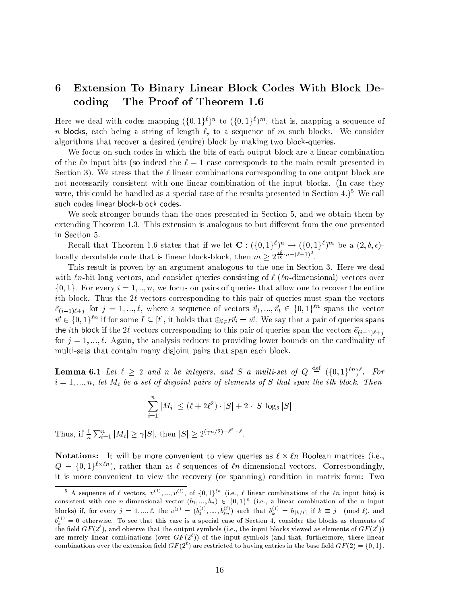# 6 Extension To Binary Linear Block Codes With Block De- $\mathrm{coding}$  – The Proof of Theorem 1.6

Here we deal with codes mapping  $(\{0,1\})$  to  $(\{0,1\})$  m, that is, mapping a sequence of n blocks, each being a string of length  $\ell$ , to a sequence of m such blocks. We consider algorithms that recover a desired (entire) block by making two block-queries.

We focus on such codes in which the bits of each output block are a linear combination of the  $\ell$ n input bits (so indeed the  $\ell = 1$  case corresponds to the main result presented in Section 3). We stress that the  $\ell$  linear combinations corresponding to one output block are not necessarily consistent with one linear combination of the input blocks. (In case they were, this could be handled as a special case of the results presented in Section 4.)5 We call such codes linear block-block codes.

We seek stronger bounds than the ones presented in Section 5, and we obtain them by extending Theorem 1.3. This extension is analogous to but different from the one presented

Recall that Theorem 1.6 states that if we let  $\mathbf{C}: (\{0,1\}^{\ell})^n \to (\{0,1\}^{\ell})^m$  be a  $(2,\delta,\epsilon)$ locally decodable code that is linear block-block, then  $m \geq 2^{\frac{16}{16}} n^{-(\ell+1)^2}$ .

This result is proven by an argument analogous to the one in Section 3. Here we deal with  $\ell_n$ -bit long vectors, and consider queries consisting of  $\ell$  ( $\ell_n$ -dimensional) vectors over  $\{0,1\}$ . For every  $i = 1, ..., n$ , we focus on pairs of queries that allow one to recover the entire ith block. Thus the  $2\ell$  vectors corresponding to this pair of queries must span the vectors  $\vec{e}_{(i-1)\ell+j}$  for  $j = 1, ..., \ell$ , where a sequence of vectors  $\vec{v}_1, ..., \vec{v}_t \in \{0, 1\}^{\ell n}$  spans the vector  $\vec{w} \in \{0,1\}^{\ell n}$  if for some  $I \subseteq [t]$ , it holds that  $\bigoplus_{i \in I} \vec{v}_i = \vec{w}$ . We say that a pair of queries spans the *i*th block if the 2 $\ell$  vectors corresponding to this pair of queries span the vectors  $\vec{e}_{(i-1)\ell+i}$ for  $j = 1, ..., \ell$ . Again, the analysis reduces to providing lower bounds on the cardinality of multi-sets that contain many disjoint pairs that span each block.

**Lemma 6.1** Let  $\ell \geq 2$  and n be integers, and S a multi-set of  $Q \stackrel{\text{def}}{=} (\{0,1\}^{kn})^{\ell}$ . For  $i = 1, ..., n$ , let  $M_i$  be a set of disjoint pairs of elements of S that span the ith block. Then

$$
\sum_{i=1}^n |M_i| \leq (\ell+2\ell^2)\cdot |S|+2\cdot |S|\log_2 |S|
$$

Thus, if  $\frac{1}{n}\sum_{i=1}^n |M_i| \geq \gamma |S|$ , then  $|S| \geq 2^{(\gamma n/2)-\ell^2-\ell}$ .

**Notations:** It will be more convenient to view queries as  $\ell \times \ell n$  Boolean matrices (i.e.,  $Q \equiv \{0,1\}^{l \times ln}$ , rather than as  $l$ -sequences of  $ln$ -dimensional vectors. Correspondingly, it is more convenient to view the recovery (or spanning) condition in matrix form: Two

A sequence of  $\ell$  vectors,  $v^{<\gamma},...,v^{<\gamma},$  of  $\{0,1\}^{\sim}$  (i.e.,  $\ell$  linear combinations of the  $\ell n$  input bits) is consistent with one n-dimensional vector  $(v_1,...,v_n) \in \{0,1\}$  (i.e., a linear combination of the n input blocks) if, for every  $j = 1, ..., \ell$ , the  $v^{(j)} = (b_1^{(j)}, ..., b_{\ell n}^{(j)})$  such that  $b_k^{(j)} = b_{\lceil k/\ell \rceil}$  if  $k \equiv j \pmod{\ell}$ , and  $b_k^{\omega\omega}=0$  otherwise. To see that this case is a special case of Section 4, consider the blocks as elements of the field GF (2°), and observe that the output symbols (i.e., the input blocks viewed as elements of GF (2°)) are merely linear combinations (over  $GF\left( 2^{\circ}\right)$ ) of the input symbols (and that, furthermore, these linear combinations over the extension field  $GH(2^+)$  are restricted to having entries in the base field  $GH(2) = \{0, 1\}$ .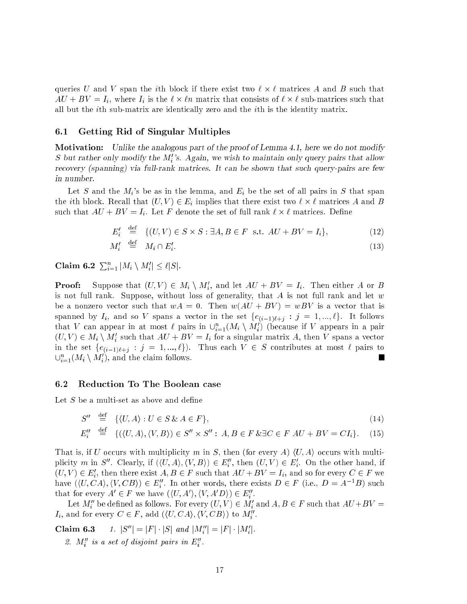queries U and V span the *i*th block if there exist two  $\ell \times \ell$  matrices A and B such that  $AU + BV = I_i$ , where  $I_i$  is the  $\ell \times \ell n$  matrix that consists of  $\ell \times \ell$  sub-matrices such that all but the ith sub-matrix are identically zero and the ith is the identity matrix.

### 6.1 Getting Rid of Singular Multiples

Motivation: Unlike the analogous part of the proof of Lemma 4.1, here we do not modify S but rather only modify the M''s. Again, we wish to maintain only query pairs that allow recovery (spanning) via full-rank matrices. It can be shown that such query-pairs are few in number.

Let S and the  $M_i$ 's be as in the lemma, and  $E_i$  be the set of all pairs in S that span the *i*th block. Recall that  $(U, V) \in E_i$  implies that there exist two  $\ell \times \ell$  matrices A and B such that  $AU + BV = I_i$ . Let F denote the set of full rank  $\ell \times \ell$  matrices. Define

$$
E_i' \stackrel{\text{def}}{=} \{(U, V) \in S \times S : \exists A, B \in F \text{ s.t. } AU + BV = I_i\},\tag{12}
$$

$$
M'_i \stackrel{\text{def}}{=} M_i \cap E'_i. \tag{13}
$$

Claim 6.2  $\sum_{i=1}^n |M_i \setminus M_i'| \leq \ell |S|$ .

**Proof:** Suppose that  $(U, V) \in M_i \setminus M'_i$ , and let  $AU + BV = I_i$ . Then either A or B is not full rank. Suppose, without loss of generality, that  $A$  is not full rank and let  $w$ be a nonzero vector such that  $wA = 0$ . Then  $w(AU + BV) = wBV$  is a vector that is spanned by  $I_i$ , and so V spans a vector in the set  $\{e_{(i-1)\ell+j} : j = 1, ..., \ell\}$ . It follows that V can appear in at most  $\ell$  pairs in  $\cup_{i=1}^n (M_i \setminus M_i')$  (because if V appears in a pair  $(U, V) \in M_i \setminus M'_i$  such that  $AU + BV = I_i$  for a singular matrix A, then V spans a vector in the set  $\{e_{(i-1)\ell+j} : j = 1, ..., \ell\}$ . Thus each  $V \in S$  contributes at most  $\ell$  pairs to  $\cup_{i=1}^n (M_i \setminus M_i')$ , and the claim follows.

#### Reduction To The Boolean case 6.2

Let  $S$  be a multi-set as above and define

$$
S'' \stackrel{\text{def}}{=} \{ \langle U, A \rangle : U \in S \& A \in F \}, \tag{14}
$$

$$
E_i'' \stackrel{\text{def}}{=} \{ (\langle U, A \rangle, \langle V, B \rangle) \in S'' \times S'' : A, B \in F \& \exists C \in F \ A U + B V = C I_i \}. \tag{15}
$$

That is, if U occurs with multiplicity m in S, then (for every A)  $\langle U, A \rangle$  occurs with multiplicity m in S''. Clearly, if  $(\langle U, A \rangle, \langle V, B \rangle) \in E_i''$ , then  $(U, V) \in E_i'$ . On the other hand, if  $(U, V) \in E'_i$ , then there exist  $A, B \in F$  such that  $AU + BV = I_i$ , and so for every  $C \in F$  we have  $(\langle U, CA \rangle, \langle V, CB \rangle) \in E_i''$ . In other words, there exists  $D \in F$  (i.e.,  $D = A^{-1}B$ ) such that for every  $A' \in F$  we have  $(\langle U, A' \rangle, \langle V, A'D \rangle) \in E_i''$ .

Let  $M''_i$  be defined as follows. For every  $(U, V) \in M'_i$  and  $A, B \in F$  such that  $AU+BV =$  $I_i$ , and for every  $C \in F$ , add  $(\langle U, CA \rangle, \langle V, CB \rangle)$  to  $M''_i$ .

Claim 6.3 1.  $|S''| = |F| \cdot |S|$  and  $|M''_i| = |F| \cdot |M'_i|$ .

2.  $M''$  is a set of disjoint pairs in  $E''$ .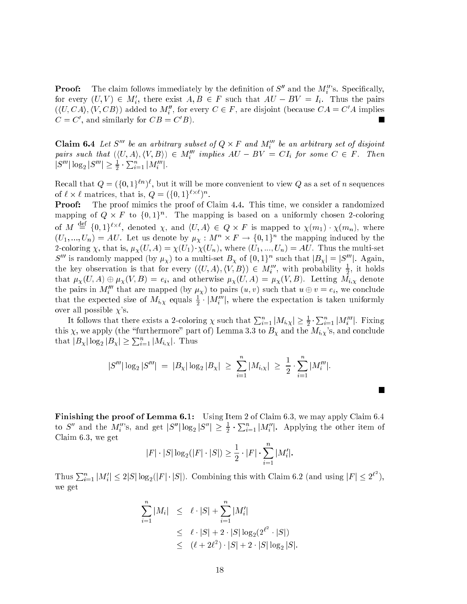**Proof:** The claim follows immediately by the definition of  $S''$  and the  $M_i''$ 's. Specifically, for every  $(U, V) \in M'_i$ , there exist  $A, B \in F$  such that  $AU - BV = I_i$ . Thus the pairs  $(\langle U, CA \rangle, \langle V, CB \rangle)$  added to  $M''_i$ , for every  $C \in F$ , are disjoint (because  $CA = C'A$  implies  $C = C'$ , and similarly for  $CB = C'B$ ).

**Claim 6.4** Let S<sup>m</sup> be an arbitrary subset of  $Q \times F$  and  $M'''_i$ pairs such that  $(\langle U, A \rangle, \langle V, B \rangle) \in M'''_i$  implies  $AU - BV = CI_i$  for some  $C \in F$ . Then  $|S'''| \log_2 |S'''| \geq \frac{1}{2} \cdot \sum_{i=1}^n |M''_i|.$ 

Recall that  $Q = (\{0,1\}^{\ell n})^{\ell}$ , but it will be more convenient to view Q as a set of n sequences of  $\ell \times \ell$  matrices, that is,  $Q = (\{0,1\}^{\ell \times \ell})^n$ .

Proof: The proof mimics the proof of Claim 4.4. This time, we consider a randomized mapping of  $Q \times F$  to  $\{0,1\}^n$ . The mapping is based on a uniformly chosen 2-coloring of M  $\stackrel{\text{def}}{=} \{0,1\}^{\ell\times\ell}$ , denoted  $\chi$ , and  $\langle U,A\rangle \in Q \times F$  is mapped to  $\chi(m_1) \cdot \chi(m_n)$ , where  $(U_1,...,U_n)=AU$ . Let us denote by  $\mu_X: M^n \times F \to \{0,1\}^n$  the mapping induced by the 2-coloring  $\chi$ , that is,  $\mu_{\chi}(U, A) = \chi(U_1) \cdot \chi(U_n)$ , where  $(U_1, ..., U_n) = AU$ . Thus the multi-set S<sup>*m*</sup> is randomly mapped (by  $\mu_{\chi}$ ) to a multi-set  $B_{\chi}$  of  $\{0,1\}^n$  such that  $|B_{\chi}| = |S^{\prime\prime\prime}|$ . Again, the key observation is that for every  $(\langle U, A \rangle, \langle V, B \rangle) \in M_i^{\prime\prime\prime}$ , with probability  $\frac{1}{2}$ , it holds that  $\mu_X(U, A) \oplus \mu_X(V, B) = e_i$ , and otherwise  $\mu_X(U, A) = \mu_X(V, B)$ . Letting  $\tilde{M_i}$  denote the pairs in  $M_i^{\prime\prime\prime}$  that are mapped (by  $\mu_\chi$ ) to pairs  $(u, v)$  such that  $u \oplus v = e_i$ , we conclude that the expected size of  $M_{i,\chi}$  equals  $\frac{1}{2} \cdot |M_i^{\prime\prime\prime}|$ , where the expectation is taken uniformly over all possible  $\chi$ 's.

It follows that there exists a 2-coloring  $\chi$  such that  $\sum_{i=1}^n |M_{i,\chi}| \geq \frac{1}{2} \cdot \sum_{i=1}^n |M'''_i|$ . Fixing this  $\chi$ , we apply (the "furthermore" part of) Lemma 3.3 to  $B_{\chi}$  and the  $M_{i,\chi}$ 's, and conclude that  $|B_{\chi}| \log_2 |B_{\chi}| \geq \sum_{i=1}^n |M_{i,\chi}|$ . Thus

$$
|S'''|\log_2|S'''| \ = \ |B_{\chi}|\log_2|B_{\chi}| \ \geq \ \sum_{i=1}^n |M_{i,\chi}| \ \geq \ \frac{1}{2} \cdot \sum_{i=1}^n |M'''_i|.
$$

Finishing the proof of Lemma 6.1: Using Item 2 of Claim 6.3, we may apply Claim 6.4 to  $S''$  and the  $M_i''$ 's, and get  $|S''| \log_2 |S''| \geq \frac{1}{2} \cdot \sum_{i=1}^n |M_i''|$ . Applying the other item of Claim 6.3, we get

$$
|F| \cdot |S| \log_2(|F| \cdot |S|) \ge \frac{1}{2} \cdot |F| \cdot \sum_{i=1}^n |M'_i|.
$$

Thus  $\sum_{i=1}^n |M'_i| \leq 2|S| \log_2(|F| \cdot |S|)$ . Combining this with Claim 6.2 (and using  $|F| \leq 2^{\ell^2}$ ), we get

$$
\sum_{i=1}^{n} |M_i| \leq \ell \cdot |S| + \sum_{i=1}^{n} |M'_i|
$$
  
\n
$$
\leq \ell \cdot |S| + 2 \cdot |S| \log_2(2^{\ell^2} \cdot |S|)
$$
  
\n
$$
\leq (\ell + 2\ell^2) \cdot |S| + 2 \cdot |S| \log_2 |S|.
$$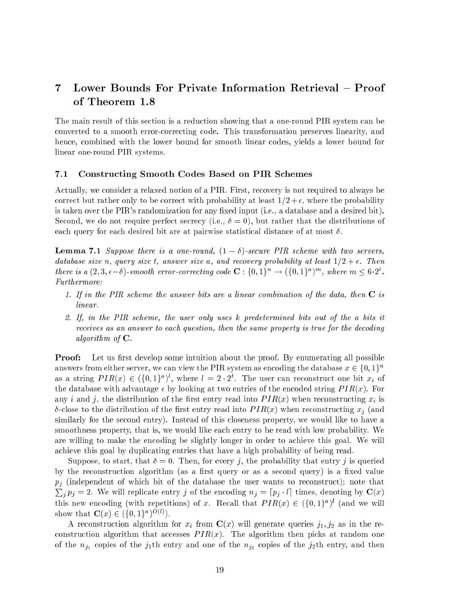# 7 Lower Bounds For Private Information Retrieval – Proof of Theorem 1.8

The main result of this section is a reduction showing that a one-round PIR system can be converted to a smooth error-correcting code. This transformation preserves linearity, and hence, combined with the lower bound for smooth linear codes, yields a lower bound for linear one-round PIR systems.

### 7.1 Constructing Smooth Codes Based on PIR Schemes

Actually, we consider a relaxed notion of a PIR. First, recovery is not required to always be correct but rather only to be correct with probability at least  $1/2 + \epsilon$ , where the probability is taken over the PIR's randomization for any fixed input (i.e., a database and a desired bit). Second, we do not require perfect secrecy (i.e.,  $\delta = 0$ ), but rather that the distributions of each query for each desired bit are at pairwise statistical distance of at most  $\delta$ .

**Lemma 7.1** Suppose there is a one-round,  $(1 - \delta)$ -secure PIR scheme with two servers, database size n, query size t, answer size a, and recovery probability at least  $1/2 + \epsilon$ . Then there is a  $(2,3,\epsilon-\delta)$ -smooth error-correcting code  $\mathbf{C}: \{0,1\}^n \to (\{0,1\}^a)^m$ , where  $m \leq 6 \cdot 2^t$ . Furthermore:

- 1. If in the PIR scheme the answer bits are a linear combination of the data, then  $C$  is linear.
- 2. If, in the PIR scheme, the user only uses k predetermined bits out of the <sup>a</sup> bits it receives as an answer to each question, then the same property is true for the decoding algorithm of  $C$ .

**Proof:** Let us first develop some intuition about the proof. By enumerating all possible answers from either server, we can view the PIR system as encoding the database  $x \in \{0,1\}^n$ as a string  $PIR(x) \in (\{0,1\}^a)^t$ , where  $l = 2 \cdot 2^t$ . The user can reconstruct one bit  $x_i$  of the database with advantage  $\epsilon$  by looking at two entries of the encoded string  $PIR(x)$ . For any i and j, the distribution of the first entry read into  $PIR(x)$  when reconstructing  $x_i$  is  $\delta$ -close to the distribution of the first entry read into  $PIR(x)$  when reconstructing  $x_i$  (and similarly for the second entry). Instead of this closeness property, we would like to have a smoothness property, that is, we would like each entry to be read with low probability. We are willing to make the encoding be slightly longer in order to achieve this goal. We will achieve this goal by duplicating entries that have a high probability of being read.

Suppose, to start, that  $\delta = 0$ . Then, for every j, the probability that entry j is queried by the reconstruction algorithm (as a first query or as a second query) is a fixed value  $p_j$  (independent of which bit of the database the user wants to reconstruct); note that  $\sum_i p_i = 2$ . We will replicate entry j of the encoding  $n_j = [p_j \cdot l]$  times, denoting by  $\mathbf{C}(x)$ this new encoding (with repetitions) of x. Recall that  $PIR(x) \in (\{0,1\}^a)^t$  (and we will show that  $\mathbf{C}(x) \in (\{0,1\}^*)^{\infty}$ .

A reconstruction algorithm for  $x_i$  from  $\mathbf{C}(x)$  will generate queries  $j_1, j_2$  as in the reconstruction algorithm that accesses  $PIR(x)$ . The algorithm then picks at random one of the  $n_{j_1}$  copies of the  $j_1$ th entry and one of the  $n_{j_2}$  copies of the  $j_2$ th entry, and then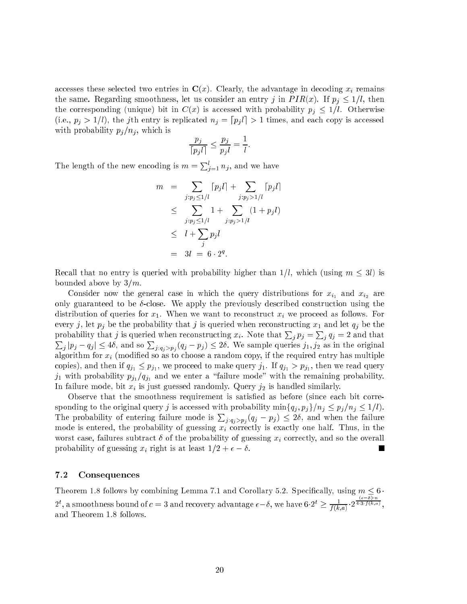accesses these selected two entries in  $\mathbf{C}(x)$ . Clearly, the advantage in decoding  $x_i$  remains the same. Regarding smoothness, let us consider an entry j in  $PIR(x)$ . If  $p_i \leq 1/l$ , then the corresponding (unique) bit in  $C(x)$  is accessed with probability  $p_i \leq 1/l$ . Otherwise (i.e.,  $p_j > 1/l$ ), the jth entry is replicated  $n_j = [p_j l] > 1$  times, and each copy is accessed with probability  $p_j/n_j$ , which is

$$
\frac{p_j}{\lceil p_j l \rceil} \le \frac{p_j}{p_j l} = \frac{1}{l}.
$$

The length of the new encoding is  $m = \sum_{i=1}^{l} n_i$ , and we have

$$
m = \sum_{j:p_j \le 1/l} [p_j l] + \sum_{j:p_j > 1/l} [p_j l]
$$
  
\n
$$
\le \sum_{j:p_j \le 1/l} 1 + \sum_{j:p_j > 1/l} (1 + p_j l)
$$
  
\n
$$
\le l + \sum_{j} p_j l
$$
  
\n
$$
= 3l = 6 \cdot 2^q.
$$

Recall that no entry is queried with probability higher than  $1/l$ , which (using  $m \leq 3l$ ) is bounded above by  $3/m$ .

Consider now the general case in which the query distributions for  $x_{i_1}$  and  $x_{i_2}$  are only guaranteed to be  $\delta$ -close. We apply the previously described construction using the distribution of queries for  $x_1$ . When we want to reconstruct  $x_i$  we proceed as follows. For every j, let  $p_j$  be the probability that j is queried when reconstructing  $x_1$  and let  $q_j$  be the probability that j is queried when reconstructing  $x_i$ . Note that  $\sum_i p_j = \sum_i q_j = 2$  and that **Property**  $|j_p|p_j - q_j| \leq 4\delta$ , and so  $\sum_{j: q_j > p_j} (q_j - p_j) \leq 2\delta$ . We sample queries  $j_1, j_2$  as in the original algorithm for  $x_i$  (modified so as to choose a random copy, if the required entry has multiple copies), and then if  $q_{j_1} \leq p_{j_1}$ , we proceed to make query  $j_1$ . If  $q_{j_1} > p_{j_1}$ , then we read query  $j_1$  with probability  $p_{j_1}/q_{j_1}$  and we enter a "failure mode" with the remaining probability. In failure mode, bit  $x_i$  is just guessed randomly. Query  $j_2$  is handled similarly.

Observe that the smoothness requirement is satised as before (since each bit corresponding to the original query j is accessed with probability  $\min\{q_i, p_j\}/n_j \leq p_j/n_j \leq 1/l$ . The probability of entering failure mode is  $\sum_{j:q_i>p_j}(q_j-p_j) \leq 2\delta$ , and when the failure mode is entered, the probability of guessing  $x_i$  correctly is exactly one half. Thus, in the worst case, failures subtract  $\delta$  of the probability of guessing  $x_i$  correctly, and so the overall probability of guessing  $x_i$  right is at least  $1/2 + \epsilon - \delta$ .

### 7.2 Consequences

Theorem 1.8 follows by combining Lemma 7.1 and Corollary 5.2. Specifically, using  $m \leq 6$ .  $2^t$ , a smoothness bound of  $c=3$  and recovery advantage  $\epsilon-\delta,$  we have  $6\cdot 2^t\geq \frac{1}{f(k,a)}\cdot 2$  $\frac{1}{4 \cdot 3 \cdot f(k,a)}$ and Theorem 1.8 follows.